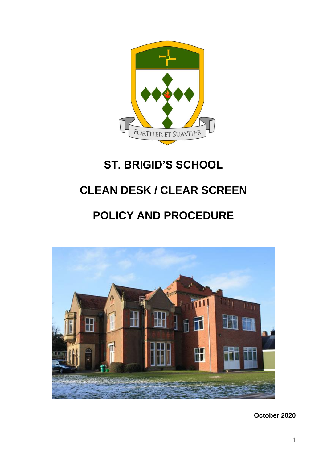

# **ST. BRIGID'S SCHOOL**

## **CLEAN DESK / CLEAR SCREEN**

## **POLICY AND PROCEDURE**



**October 2020**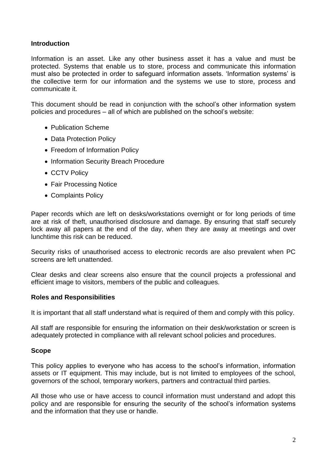#### **Introduction**

Information is an asset. Like any other business asset it has a value and must be protected. Systems that enable us to store, process and communicate this information must also be protected in order to safeguard information assets. 'Information systems' is the collective term for our information and the systems we use to store, process and communicate it.

This document should be read in conjunction with the school's other information system policies and procedures – all of which are published on the school's website:

- Publication Scheme
- Data Protection Policy
- Freedom of Information Policy
- Information Security Breach Procedure
- CCTV Policy
- Fair Processing Notice
- Complaints Policy

Paper records which are left on desks/workstations overnight or for long periods of time are at risk of theft, unauthorised disclosure and damage. By ensuring that staff securely lock away all papers at the end of the day, when they are away at meetings and over lunchtime this risk can be reduced.

Security risks of unauthorised access to electronic records are also prevalent when PC screens are left unattended.

Clear desks and clear screens also ensure that the council projects a professional and efficient image to visitors, members of the public and colleagues.

#### **Roles and Responsibilities**

It is important that all staff understand what is required of them and comply with this policy.

All staff are responsible for ensuring the information on their desk/workstation or screen is adequately protected in compliance with all relevant school policies and procedures.

#### **Scope**

This policy applies to everyone who has access to the school's information, information assets or IT equipment. This may include, but is not limited to employees of the school, governors of the school, temporary workers, partners and contractual third parties.

All those who use or have access to council information must understand and adopt this policy and are responsible for ensuring the security of the school's information systems and the information that they use or handle.